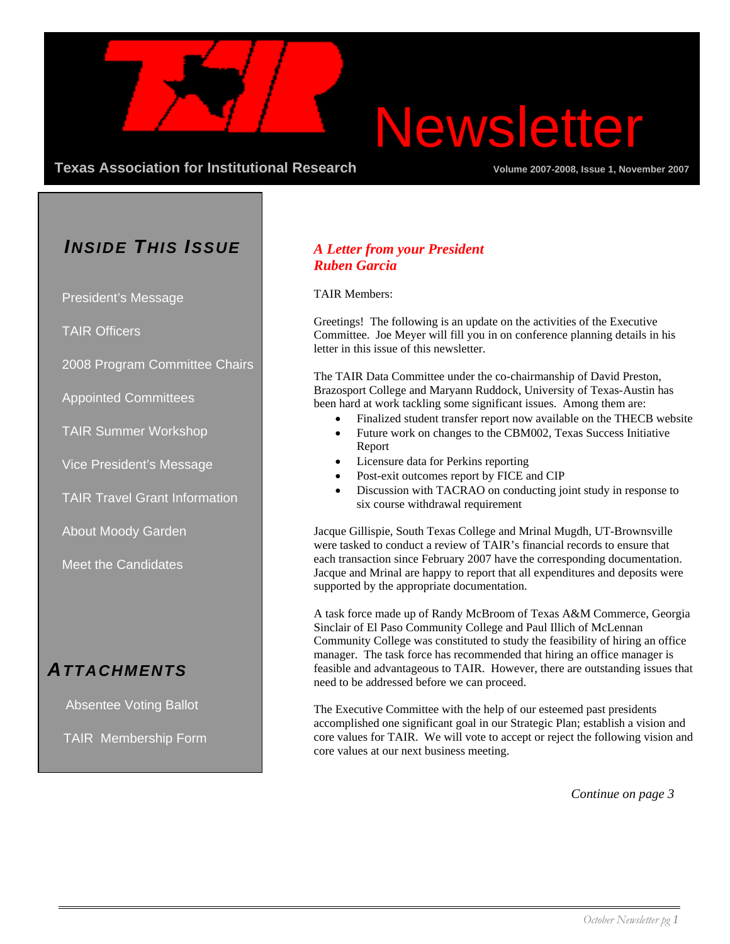

**Texas Association for Institutional Research Community Community Volume 2007-2008, Issue 1, November 2007** 

## *INSIDE THIS ISSUE*

President's Message

TAIR Officers

2008 Program Committee Chairs

Appointed Committees

TAIR Summer Workshop

Vice President's Message

TAIR Travel Grant Information

About Moody Garden

Meet the Candidates

## *ATTACHMENTS*

Absentee Voting Ballot

TAIR Membership Form

## *A Letter from your President Ruben Garcia*

#### TAIR Members:

Greetings! The following is an update on the activities of the Executive Committee. Joe Meyer will fill you in on conference planning details in his letter in this issue of this newsletter.

The TAIR Data Committee under the co-chairmanship of David Preston, Brazosport College and Maryann Ruddock, University of Texas-Austin has been hard at work tackling some significant issues. Among them are:

- Finalized student transfer report now available on the THECB website
- Future work on changes to the CBM002, Texas Success Initiative Report
- Licensure data for Perkins reporting
- Post-exit outcomes report by FICE and CIP
- Discussion with TACRAO on conducting joint study in response to six course withdrawal requirement

Jacque Gillispie, South Texas College and Mrinal Mugdh, UT-Brownsville were tasked to conduct a review of TAIR's financial records to ensure that each transaction since February 2007 have the corresponding documentation. Jacque and Mrinal are happy to report that all expenditures and deposits were supported by the appropriate documentation.

A task force made up of Randy McBroom of Texas A&M Commerce, Georgia Sinclair of El Paso Community College and Paul Illich of McLennan Community College was constituted to study the feasibility of hiring an office manager. The task force has recommended that hiring an office manager is feasible and advantageous to TAIR. However, there are outstanding issues that need to be addressed before we can proceed.

The Executive Committee with the help of our esteemed past presidents accomplished one significant goal in our Strategic Plan; establish a vision and core values for TAIR. We will vote to accept or reject the following vision and core values at our next business meeting.

*Continue on page 3*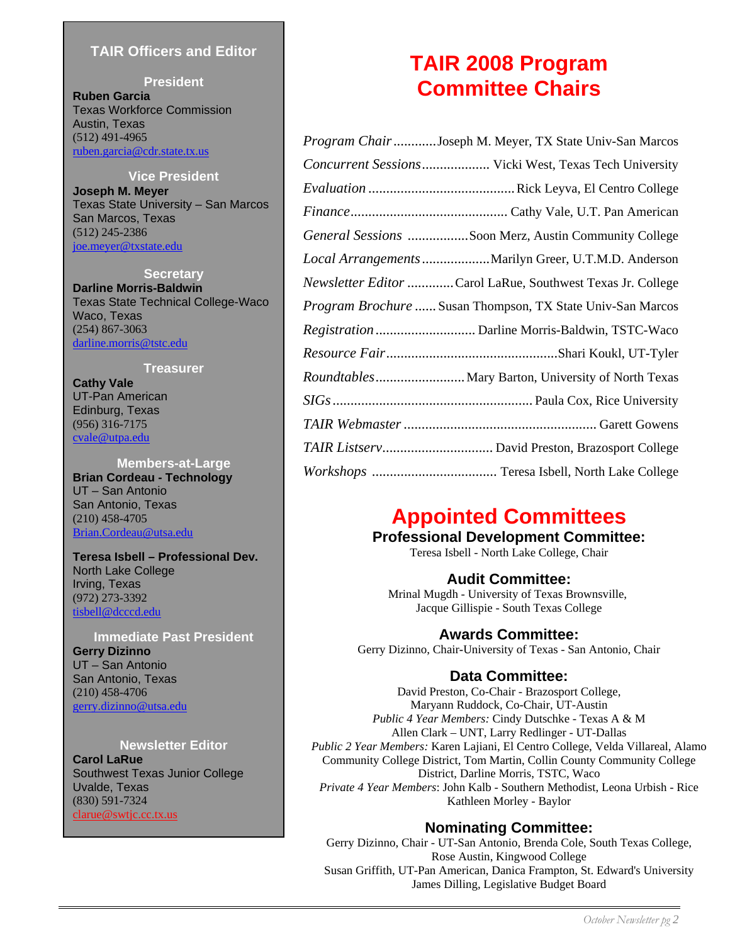## **TAIR Officers and Editor**

**President Ruben Garcia** Texas Workforce Commission Austin, Texas (512) 491-4965 ruben.garcia@cdr.state.tx.us

**Vice President Joseph M. Meyer** Texas State University – San Marcos San Marcos, Texas (512) 245-2386 joe.meyer@txstate.edu

**Secretary Darline Morris-Baldwin** Texas State Technical College-Waco Waco, Texas (254) 867-3063 darline.morris@tstc.edu

**Treasurer** 

**Cathy Vale**  UT-Pan American Edinburg, Texas (956) 316-7175 cvale@utpa.edu

**Members-at-Large Brian Cordeau - Technology**  UT – San Antonio San Antonio, Texas (210) 458-4705 Brian.Cordeau@utsa.edu

**Teresa Isbell – Professional Dev.**  North Lake College Irving, Texas (972) 273-3392 tisbell@dcccd.edu

**Immediate Past President Gerry Dizinno**  UT – San Antonio San Antonio, Texas (210) 458-4706 gerry.dizinno@utsa.edu

#### **Newsletter Editor**

**Carol LaRue**  Southwest Texas Junior College Uvalde, Texas (830) 591-7324 clarue@swtjc.cc.tx.us

## **TAIR 2008 Program Committee Chairs**

| Program Chair Joseph M. Meyer, TX State Univ-San Marcos           |
|-------------------------------------------------------------------|
| Concurrent Sessions Vicki West, Texas Tech University             |
|                                                                   |
|                                                                   |
| General Sessions Soon Merz, Austin Community College              |
| Local Arrangements Marilyn Greer, U.T.M.D. Anderson               |
| <i>Newsletter Editor</i> Carol LaRue, Southwest Texas Jr. College |
| Program Brochure  Susan Thompson, TX State Univ-San Marcos        |
|                                                                   |
|                                                                   |
| Roundtables Mary Barton, University of North Texas                |
|                                                                   |
|                                                                   |
| TAIR Listserv David Preston, Brazosport College                   |
|                                                                   |

## **Appointed Committees**

**Professional Development Committee:** 

Teresa Isbell - North Lake College, Chair

## **Audit Committee:**

Mrinal Mugdh - University of Texas Brownsville, Jacque Gillispie - South Texas College

## **Awards Committee:**

Gerry Dizinno, Chair**-**University of Texas - San Antonio, Chair

## **Data Committee:**

David Preston, Co-Chair - Brazosport College, Maryann Ruddock, Co-Chair, UT-Austin *Public 4 Year Members:* Cindy Dutschke - Texas A & M Allen Clark – UNT, Larry Redlinger - UT-Dallas *Public 2 Year Members:* Karen Lajiani, El Centro College, Velda Villareal, Alamo Community College District, Tom Martin, Collin County Community College District, Darline Morris, TSTC, Waco *Private 4 Year Members*: John Kalb - Southern Methodist, Leona Urbish - Rice Kathleen Morley - Baylor

## **Nominating Committee:**

Gerry Dizinno, Chair - UT-San Antonio, Brenda Cole, South Texas College, Rose Austin, Kingwood College Susan Griffith, UT-Pan American, Danica Frampton, St. Edward's University James Dilling, Legislative Budget Board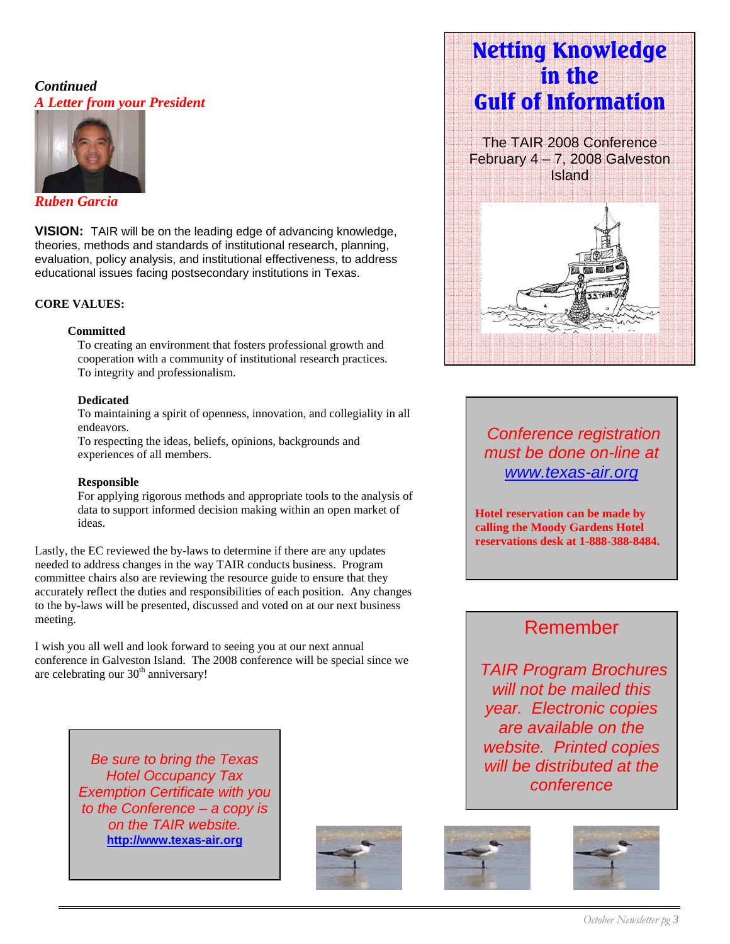## *Continued A Letter from your President*



## *Ruben Garcia*

**VISION:** TAIR will be on the leading edge of advancing knowledge, theories, methods and standards of institutional research, planning, evaluation, policy analysis, and institutional effectiveness, to address educational issues facing postsecondary institutions in Texas.

## **CORE VALUES:**

## **Committed**

To creating an environment that fosters professional growth and cooperation with a community of institutional research practices. To integrity and professionalism.

## **Dedicated**

To maintaining a spirit of openness, innovation, and collegiality in all endeavors.

To respecting the ideas, beliefs, opinions, backgrounds and experiences of all members.

## **Responsible**

For applying rigorous methods and appropriate tools to the analysis of data to support informed decision making within an open market of ideas.

 committee chairs also are reviewing the resource guide to ensure that they accurately reflect the duties and responsibilities of each position. Any change<br>to the by-laws will be presented, discussed and voted on at our next business Lastly, the EC reviewed the by-laws to determine if there are any updates needed to address changes in the way TAIR conducts business. Program accurately reflect the duties and responsibilities of each position. Any changes meeting.

I wish you all well and look forward to seeing you at our next annual conference in Galveston Island. The 2008 conference will be special since we are celebrating our  $30<sup>th</sup>$  anniversary!

> *Be sure to bring the Texas Hotel Occupancy Tax Exemption Certificate with you to the Conference – a copy is on the TAIR website.*  **http://www.texas-air.org**



# **Netting Knowledge in the Gulf of Information**

The TAIR 2008 Conference February 4 – 7, 2008 Galveston Island



 *Conference registration must be done on-line at www.texas-air.org*

**Hotel reservation can be made by calling the Moody Gardens Hotel reservations desk at 1-888-388-8484.** 

## Remember

 *TAIR Program Brochures will not be mailed this year. Electronic copies are available on the website. Printed copies will be distributed at the conference* 



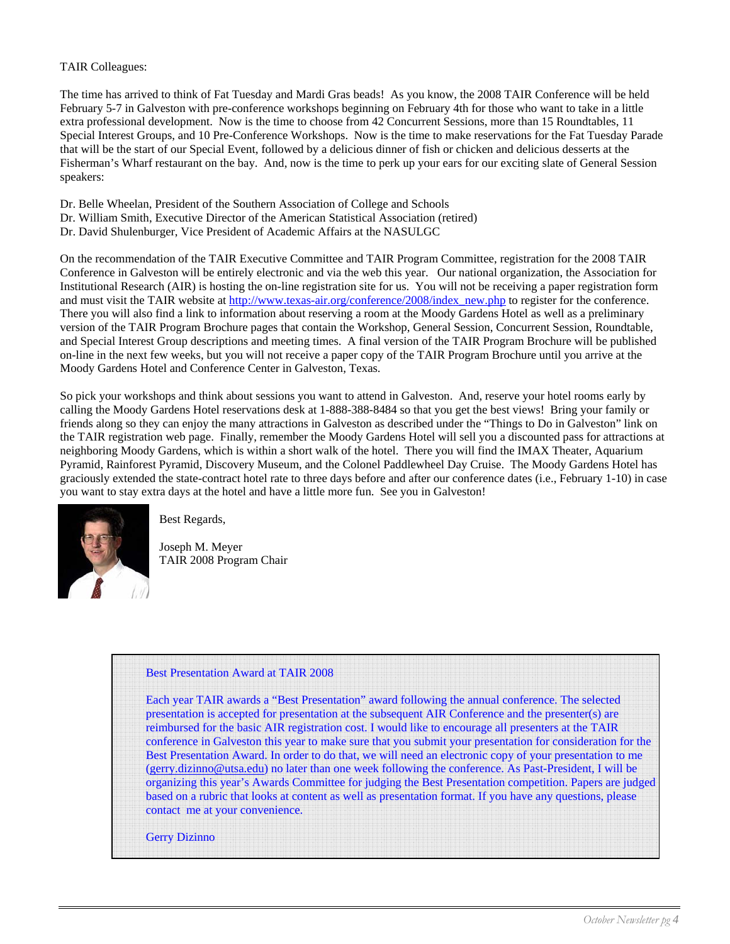## TAIR Colleagues:

The time has arrived to think of Fat Tuesday and Mardi Gras beads! As you know, the 2008 TAIR Conference will be held February 5-7 in Galveston with pre-conference workshops beginning on February 4th for those who want to take in a little extra professional development. Now is the time to choose from 42 Concurrent Sessions, more than 15 Roundtables, 11 Special Interest Groups, and 10 Pre-Conference Workshops. Now is the time to make reservations for the Fat Tuesday Parade that will be the start of our Special Event, followed by a delicious dinner of fish or chicken and delicious desserts at the Fisherman's Wharf restaurant on the bay. And, now is the time to perk up your ears for our exciting slate of General Session speakers:

- Dr. Belle Wheelan, President of the Southern Association of College and Schools
- Dr. William Smith, Executive Director of the American Statistical Association (retired)
- Dr. David Shulenburger, Vice President of Academic Affairs at the NASULGC

On the recommendation of the TAIR Executive Committee and TAIR Program Committee, registration for the 2008 TAIR Conference in Galveston will be entirely electronic and via the web this year. Our national organization, the Association for Institutional Research (AIR) is hosting the on-line registration site for us. You will not be receiving a paper registration form and must visit the TAIR website at http://www.texas-air.org/conference/2008/index\_new.php to register for the conference. There you will also find a link to information about reserving a room at the Moody Gardens Hotel as well as a preliminary version of the TAIR Program Brochure pages that contain the Workshop, General Session, Concurrent Session, Roundtable, and Special Interest Group descriptions and meeting times. A final version of the TAIR Program Brochure will be published on-line in the next few weeks, but you will not receive a paper copy of the TAIR Program Brochure until you arrive at the Moody Gardens Hotel and Conference Center in Galveston, Texas.

So pick your workshops and think about sessions you want to attend in Galveston. And, reserve your hotel rooms early by calling the Moody Gardens Hotel reservations desk at 1-888-388-8484 so that you get the best views! Bring your family or friends along so they can enjoy the many attractions in Galveston as described under the "Things to Do in Galveston" link on the TAIR registration web page. Finally, remember the Moody Gardens Hotel will sell you a discounted pass for attractions at neighboring Moody Gardens, which is within a short walk of the hotel. There you will find the IMAX Theater, Aquarium Pyramid, Rainforest Pyramid, Discovery Museum, and the Colonel Paddlewheel Day Cruise. The Moody Gardens Hotel has graciously extended the state-contract hotel rate to three days before and after our conference dates (i.e., February 1-10) in case you want to stay extra days at the hotel and have a little more fun. See you in Galveston!



Best Regards,

Joseph M. Meyer TAIR 2008 Program Chair

## Best Presentation Award at TAIR 2008

 Each year TAIR awards a "Best Presentation" award following the annual conference. The selected presentation is accepted for presentation at the subsequent AIR Conference and the presenter(s) are reimbursed for the basic AIR registration cost. I would like to encourage all presenters at the TAIR conference in Galveston this year to make sure that you submit your presentation for consideration for the Best Presentation Award. In order to do that, we will need an electronic copy of your presentation to me (gerry.dizinno@utsa.edu) no later than one week following the conference. As Past-President, I will be organizing this year's Awards Committee for judging the Best Presentation competition. Papers are judged based on a rubric that looks at content as well as presentation format. If you have any questions, please contact me at your convenience.

Gerry Dizinno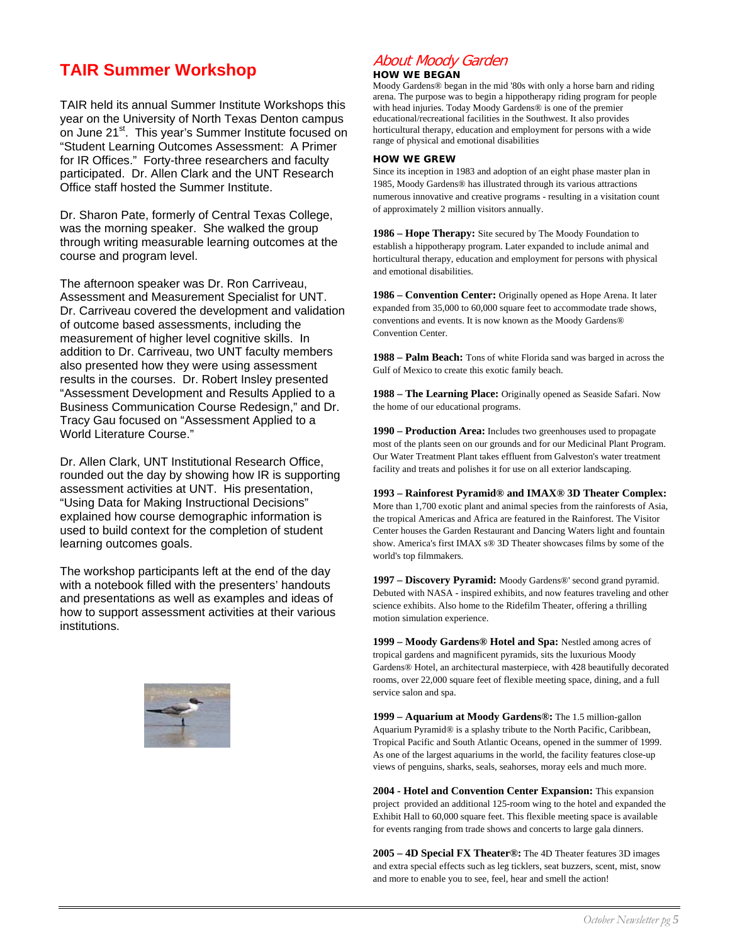## **TAIR Summer Workshop**

TAIR held its annual Summer Institute Workshops this year on the University of North Texas Denton campus on June 21<sup>st</sup>. This year's Summer Institute focused on "Student Learning Outcomes Assessment: A Primer for IR Offices." Forty-three researchers and faculty participated. Dr. Allen Clark and the UNT Research Office staff hosted the Summer Institute.

Dr. Sharon Pate, formerly of Central Texas College, was the morning speaker. She walked the group through writing measurable learning outcomes at the course and program level.

The afternoon speaker was Dr. Ron Carriveau, Assessment and Measurement Specialist for UNT. Dr. Carriveau covered the development and validation of outcome based assessments, including the measurement of higher level cognitive skills. In addition to Dr. Carriveau, two UNT faculty members also presented how they were using assessment results in the courses. Dr. Robert Insley presented "Assessment Development and Results Applied to a Business Communication Course Redesign," and Dr. Tracy Gau focused on "Assessment Applied to a World Literature Course."

Dr. Allen Clark, UNT Institutional Research Office, rounded out the day by showing how IR is supporting assessment activities at UNT. His presentation, "Using Data for Making Instructional Decisions" explained how course demographic information is used to build context for the completion of student learning outcomes goals.

The workshop participants left at the end of the day with a notebook filled with the presenters' handouts and presentations as well as examples and ideas of how to support assessment activities at their various institutions.



## About Moody Garden

#### **HOW WE BEGAN**

Moody Gardens® began in the mid '80s with only a horse barn and riding arena. The purpose was to begin a hippotherapy riding program for people with head injuries. Today Moody Gardens® is one of the premier educational/recreational facilities in the Southwest. It also provides horticultural therapy, education and employment for persons with a wide range of physical and emotional disabilities

#### **HOW WE GREW**

Since its inception in 1983 and adoption of an eight phase master plan in 1985, Moody Gardens® has illustrated through its various attractions numerous innovative and creative programs - resulting in a visitation count of approximately 2 million visitors annually.

**1986 – Hope Therapy:** Site secured by The Moody Foundation to establish a hippotherapy program. Later expanded to include animal and horticultural therapy, education and employment for persons with physical and emotional disabilities.

**1986 – Convention Center:** Originally opened as Hope Arena. It later expanded from 35,000 to 60,000 square feet to accommodate trade shows, conventions and events. It is now known as the Moody Gardens® Convention Center.

**1988 – Palm Beach:** Tons of white Florida sand was barged in across the Gulf of Mexico to create this exotic family beach.

**1988 – The Learning Place:** Originally opened as Seaside Safari. Now the home of our educational programs.

**1990 – Production Area:** Includes two greenhouses used to propagate most of the plants seen on our grounds and for our Medicinal Plant Program. Our Water Treatment Plant takes effluent from Galveston's water treatment facility and treats and polishes it for use on all exterior landscaping.

**1993 – Rainforest Pyramid® and IMAX® 3D Theater Complex:** More than 1,700 exotic plant and animal species from the rainforests of Asia, the tropical Americas and Africa are featured in the Rainforest. The Visitor Center houses the Garden Restaurant and Dancing Waters light and fountain show. America's first IMAX s® 3D Theater showcases films by some of the world's top filmmakers.

**1997 – Discovery Pyramid:** Moody Gardens®' second grand pyramid. Debuted with NASA - inspired exhibits, and now features traveling and other science exhibits. Also home to the Ridefilm Theater, offering a thrilling motion simulation experience.

**1999 – Moody Gardens® Hotel and Spa:** Nestled among acres of tropical gardens and magnificent pyramids, sits the luxurious Moody Gardens® Hotel, an architectural masterpiece, with 428 beautifully decorated rooms, over 22,000 square feet of flexible meeting space, dining, and a full service salon and spa.

**1999 – Aquarium at Moody Gardens®:** The 1.5 million-gallon Aquarium Pyramid® is a splashy tribute to the North Pacific, Caribbean, Tropical Pacific and South Atlantic Oceans, opened in the summer of 1999. As one of the largest aquariums in the world, the facility features close-up views of penguins, sharks, seals, seahorses, moray eels and much more.

**2004 - Hotel and Convention Center Expansion:** This expansion project provided an additional 125-room wing to the hotel and expanded the Exhibit Hall to 60,000 square feet. This flexible meeting space is available for events ranging from trade shows and concerts to large gala dinners.

**2005 – 4D Special FX Theater®:** The 4D Theater features 3D images and extra special effects such as leg ticklers, seat buzzers, scent, mist, snow and more to enable you to see, feel, hear and smell the action!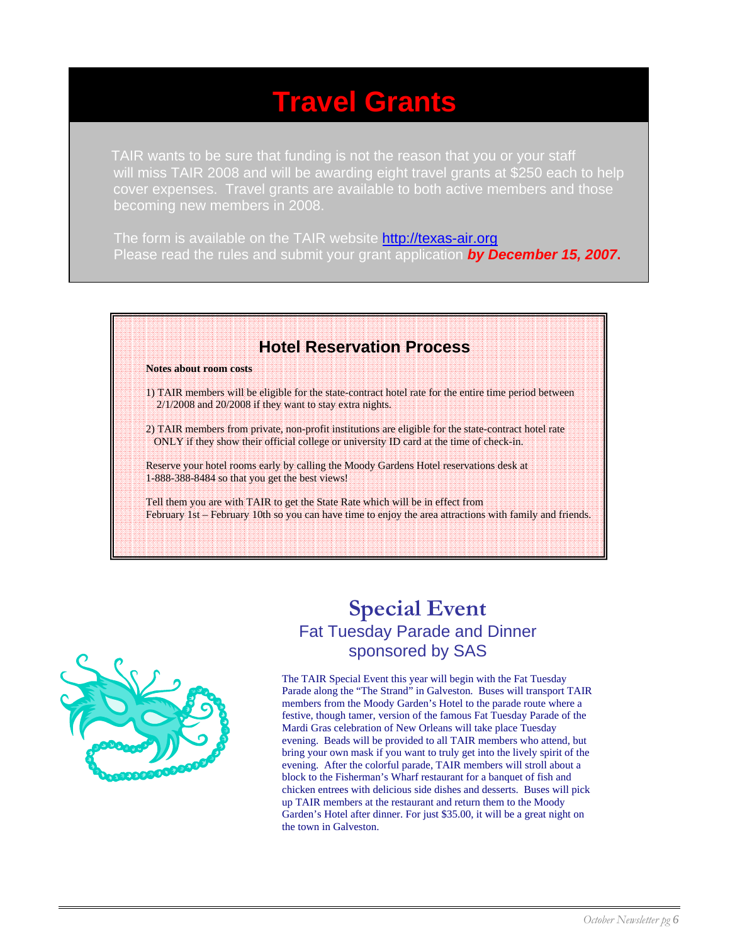# **Travel Grants**

TAIR wants to be sure that funding is not the reason that you or your staff will miss TAIR 2008 and will be awarding eight travel grants at \$250 each to help cover expenses. Travel grants are available to both active members and those becoming new members in 2008.

The form is available on the TAIR website **http://texas-air.org** Please read the rules and submit your grant application *by December 15, 2007***.**

# **Hotel Reservation Process Notes about room costs** 1) TAIR members will be eligible for the state-contract hotel rate for the entire time period between 2/1/2008 and 20/2008 if they want to stay extra nights. 2) TAIR members from private, non-profit institutions are eligible for the state-contract hotel rate ONLY if they show their official college or university ID card at the time of check-in. Reserve your hotel rooms early by calling the Moody Gardens Hotel reservations desk at 1-888-388-8484 so that you get the best views! Tell them you are with TAIR to get the State Rate which will be in effect from February 1st – February 10th so you can have time to enjoy the area attractions with family and friends.



# **Special Event**  Fat Tuesday Parade and Dinner sponsored by SAS

The TAIR Special Event this year will begin with the Fat Tuesday Parade along the "The Strand" in Galveston. Buses will transport TAIR members from the Moody Garden's Hotel to the parade route where a festive, though tamer, version of the famous Fat Tuesday Parade of the Mardi Gras celebration of New Orleans will take place Tuesday evening. Beads will be provided to all TAIR members who attend, but bring your own mask if you want to truly get into the lively spirit of the evening. After the colorful parade, TAIR members will stroll about a block to the Fisherman's Wharf restaurant for a banquet of fish and chicken entrees with delicious side dishes and desserts. Buses will pick up TAIR members at the restaurant and return them to the Moody Garden's Hotel after dinner. For just \$35.00, it will be a great night on the town in Galveston.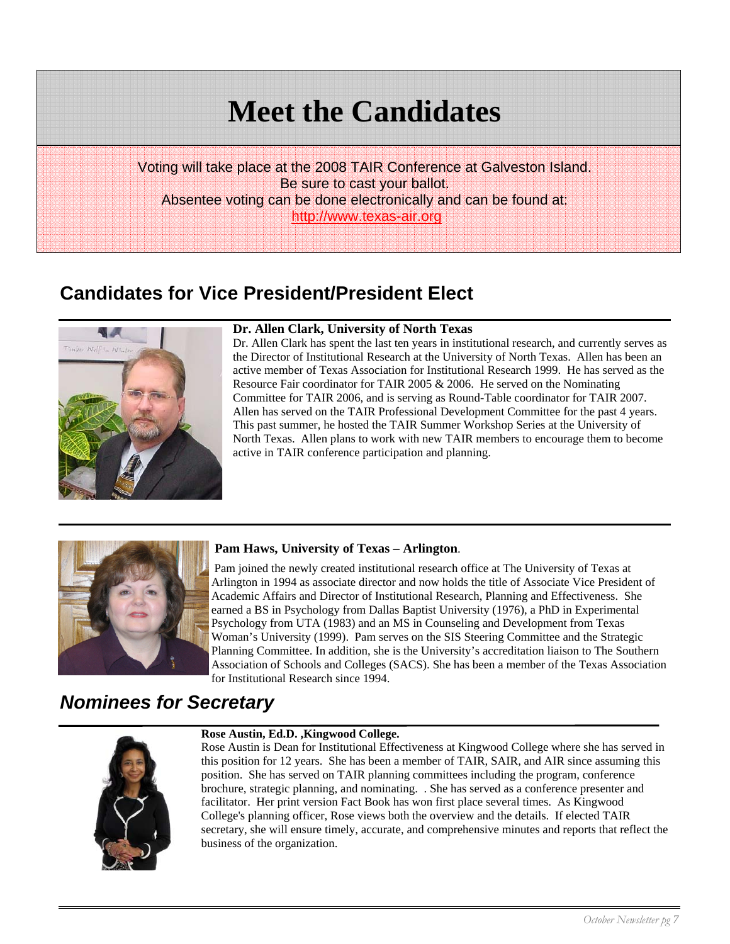Voting will take place at the 2008 TAIR Conference at Galveston Island. Be sure to cast your ballot. Absentee voting can be done electronically and can be found at: http://www.texas-air.org

# **Candidates for Vice President/President Elect**



## **Dr. Allen Clark, University of North Texas**

Dr. Allen Clark has spent the last ten years in institutional research, and currently serves as the Director of Institutional Research at the University of North Texas. Allen has been an active member of Texas Association for Institutional Research 1999. He has served as the Resource Fair coordinator for TAIR 2005 & 2006. He served on the Nominating Committee for TAIR 2006, and is serving as Round-Table coordinator for TAIR 2007. Allen has served on the TAIR Professional Development Committee for the past 4 years. This past summer, he hosted the TAIR Summer Workshop Series at the University of North Texas. Allen plans to work with new TAIR members to encourage them to become active in TAIR conference participation and planning.



## **Pam Haws, University of Texas – Arlington**.

 Pam joined the newly created institutional research office at The University of Texas at Arlington in 1994 as associate director and now holds the title of Associate Vice President of Academic Affairs and Director of Institutional Research, Planning and Effectiveness. She earned a BS in Psychology from Dallas Baptist University (1976), a PhD in Experimental Psychology from UTA (1983) and an MS in Counseling and Development from Texas Woman's University (1999). Pam serves on the SIS Steering Committee and the Strategic Planning Committee. In addition, she is the University's accreditation liaison to The Southern Association of Schools and Colleges (SACS). She has been a member of the Texas Association for Institutional Research since 1994.

## *Nominees for Secretary*



#### **Rose Austin, Ed.D. ,Kingwood College.**

Rose Austin is Dean for Institutional Effectiveness at Kingwood College where she has served in this position for 12 years. She has been a member of TAIR, SAIR, and AIR since assuming this position. She has served on TAIR planning committees including the program, conference brochure, strategic planning, and nominating. . She has served as a conference presenter and facilitator. Her print version Fact Book has won first place several times. As Kingwood College's planning officer, Rose views both the overview and the details. If elected TAIR secretary, she will ensure timely, accurate, and comprehensive minutes and reports that reflect the business of the organization.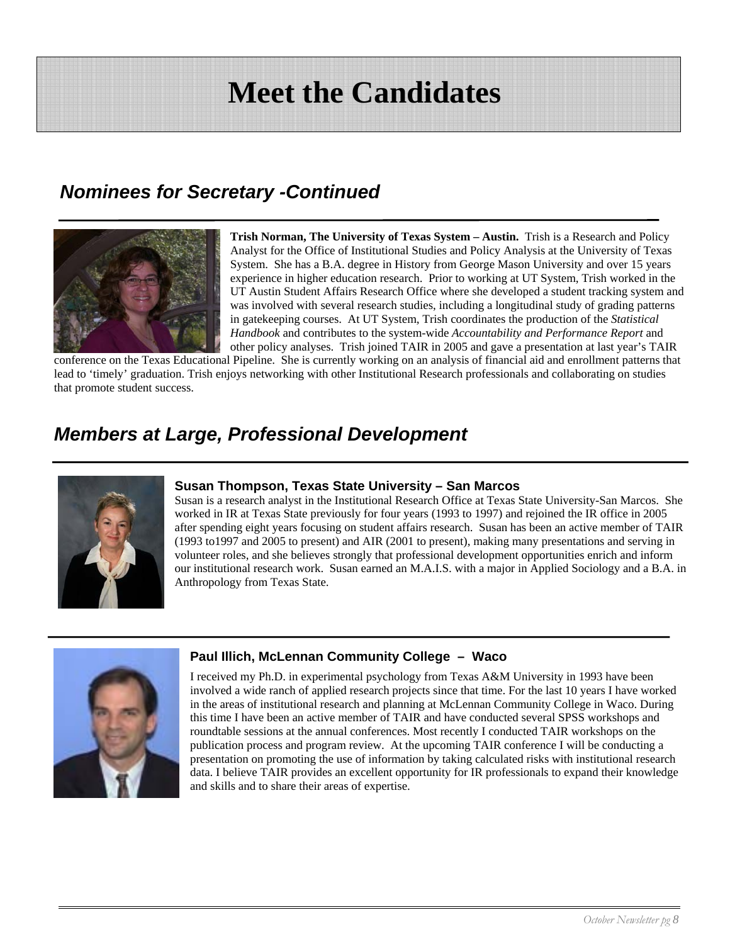# *Nominees for Secretary -Continued*



**Trish Norman, The University of Texas System – Austin.** Trish is a Research and Policy Analyst for the Office of Institutional Studies and Policy Analysis at the University of Texas System. She has a B.A. degree in History from George Mason University and over 15 years experience in higher education research. Prior to working at UT System, Trish worked in the UT Austin Student Affairs Research Office where she developed a student tracking system and was involved with several research studies, including a longitudinal study of grading patterns in gatekeeping courses. At UT System, Trish coordinates the production of the *Statistical Handbook* and contributes to the system-wide *Accountability and Performance Report* and other policy analyses. Trish joined TAIR in 2005 and gave a presentation at last year's TAIR

conference on the Texas Educational Pipeline. She is currently working on an analysis of financial aid and enrollment patterns that lead to 'timely' graduation. Trish enjoys networking with other Institutional Research professionals and collaborating on studies that promote student success.

# *Members at Large, Professional Development*



## **Susan Thompson, Texas State University – San Marcos**

Susan is a research analyst in the Institutional Research Office at Texas State University-San Marcos. She worked in IR at Texas State previously for four years (1993 to 1997) and rejoined the IR office in 2005 after spending eight years focusing on student affairs research. Susan has been an active member of TAIR (1993 to1997 and 2005 to present) and AIR (2001 to present), making many presentations and serving in volunteer roles, and she believes strongly that professional development opportunities enrich and inform our institutional research work. Susan earned an M.A.I.S. with a major in Applied Sociology and a B.A. in Anthropology from Texas State.



## **Paul Illich, McLennan Community College – Waco**

I received my Ph.D. in experimental psychology from Texas A&M University in 1993 have been involved a wide ranch of applied research projects since that time. For the last 10 years I have worked in the areas of institutional research and planning at McLennan Community College in Waco. During this time I have been an active member of TAIR and have conducted several SPSS workshops and roundtable sessions at the annual conferences. Most recently I conducted TAIR workshops on the publication process and program review. At the upcoming TAIR conference I will be conducting a presentation on promoting the use of information by taking calculated risks with institutional research data. I believe TAIR provides an excellent opportunity for IR professionals to expand their knowledge and skills and to share their areas of expertise.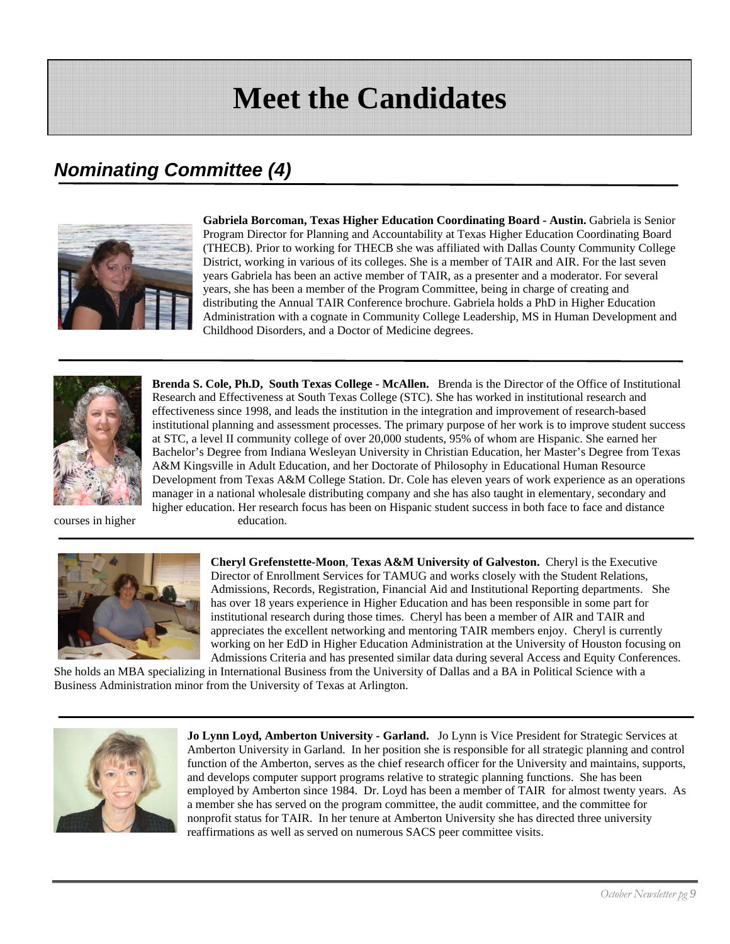# *Nominating Committee (4)*



**Gabriela Borcoman, Texas Higher Education Coordinating Board - Austin.** Gabriela is Senior Program Director for Planning and Accountability at Texas Higher Education Coordinating Board (THECB). Prior to working for THECB she was affiliated with Dallas County Community College District, working in various of its colleges. She is a member of TAIR and AIR. For the last seven years Gabriela has been an active member of TAIR, as a presenter and a moderator. For several years, she has been a member of the Program Committee, being in charge of creating and distributing the Annual TAIR Conference brochure. Gabriela holds a PhD in Higher Education Administration with a cognate in Community College Leadership, MS in Human Development and Childhood Disorders, and a Doctor of Medicine degrees.



**Brenda S. Cole, Ph.D, South Texas College - McAllen.** Brenda is the Director of the Office of Institutional Research and Effectiveness at South Texas College (STC). She has worked in institutional research and effectiveness since 1998, and leads the institution in the integration and improvement of research-based institutional planning and assessment processes. The primary purpose of her work is to improve student success at STC, a level II community college of over 20,000 students, 95% of whom are Hispanic. She earned her Bachelor's Degree from Indiana Wesleyan University in Christian Education, her Master's Degree from Texas A&M Kingsville in Adult Education, and her Doctorate of Philosophy in Educational Human Resource Development from Texas A&M College Station. Dr. Cole has eleven years of work experience as an operations manager in a national wholesale distributing company and she has also taught in elementary, secondary and higher education. Her research focus has been on Hispanic student success in both face to face and distance courses in higher education.



**Cheryl Grefenstette-Moon**, **Texas A&M University of Galveston.** Cheryl is the Executive Director of Enrollment Services for TAMUG and works closely with the Student Relations, Admissions, Records, Registration, Financial Aid and Institutional Reporting departments. She has over 18 years experience in Higher Education and has been responsible in some part for institutional research during those times. Cheryl has been a member of AIR and TAIR and appreciates the excellent networking and mentoring TAIR members enjoy. Cheryl is currently working on her EdD in Higher Education Administration at the University of Houston focusing on Admissions Criteria and has presented similar data during several Access and Equity Conferences.

She holds an MBA specializing in International Business from the University of Dallas and a BA in Political Science with a Business Administration minor from the University of Texas at Arlington.



**Jo Lynn Loyd, Amberton University - Garland.** Jo Lynn is Vice President for Strategic Services at Amberton University in Garland. In her position she is responsible for all strategic planning and control function of the Amberton, serves as the chief research officer for the University and maintains, supports, and develops computer support programs relative to strategic planning functions. She has been employed by Amberton since 1984. Dr. Loyd has been a member of TAIR for almost twenty years. As a member she has served on the program committee, the audit committee, and the committee for nonprofit status for TAIR. In her tenure at Amberton University she has directed three university reaffirmations as well as served on numerous SACS peer committee visits.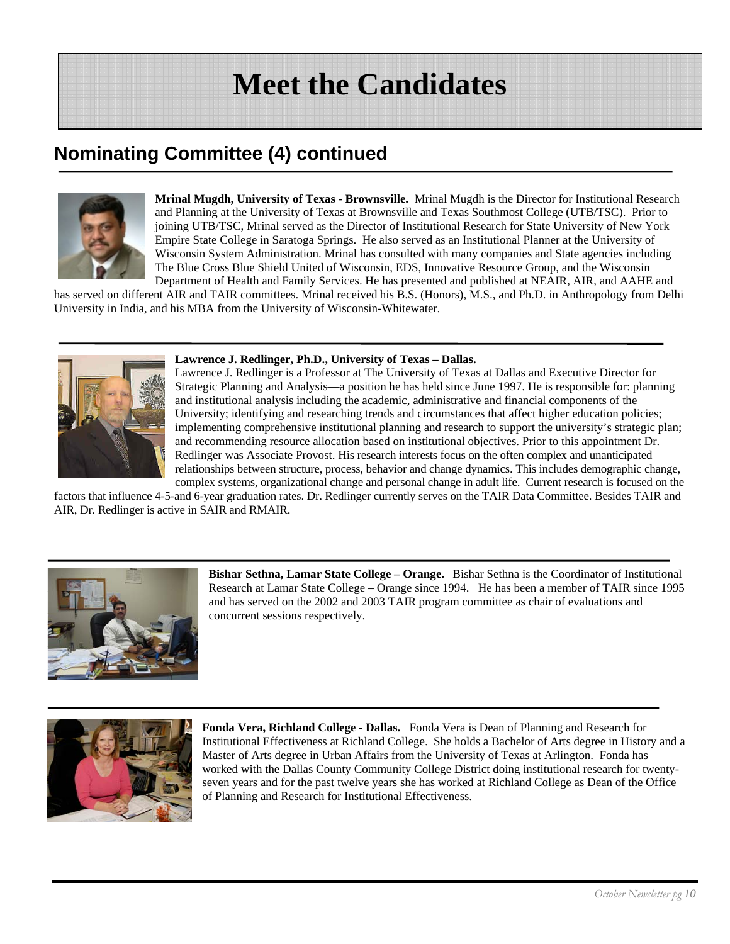# **Nominating Committee (4) continued**



**Mrinal Mugdh, University of Texas - Brownsville.** Mrinal Mugdh is the Director for Institutional Research and Planning at the University of Texas at Brownsville and Texas Southmost College (UTB/TSC). Prior to joining UTB/TSC, Mrinal served as the Director of Institutional Research for State University of New York Empire State College in Saratoga Springs. He also served as an Institutional Planner at the University of Wisconsin System Administration. Mrinal has consulted with many companies and State agencies including The Blue Cross Blue Shield United of Wisconsin, EDS, Innovative Resource Group, and the Wisconsin Department of Health and Family Services. He has presented and published at NEAIR, AIR, and AAHE and

has served on different AIR and TAIR committees. Mrinal received his B.S. (Honors), M.S., and Ph.D. in Anthropology from Delhi University in India, and his MBA from the University of Wisconsin-Whitewater.



### **Lawrence J. Redlinger, Ph.D., University of Texas – Dallas.**

Lawrence J. Redlinger is a Professor at The University of Texas at Dallas and Executive Director for Strategic Planning and Analysis—a position he has held since June 1997. He is responsible for: planning and institutional analysis including the academic, administrative and financial components of the University; identifying and researching trends and circumstances that affect higher education policies; implementing comprehensive institutional planning and research to support the university's strategic plan; and recommending resource allocation based on institutional objectives. Prior to this appointment Dr. Redlinger was Associate Provost. His research interests focus on the often complex and unanticipated relationships between structure, process, behavior and change dynamics. This includes demographic change, complex systems, organizational change and personal change in adult life. Current research is focused on the

factors that influence 4-5-and 6-year graduation rates. Dr. Redlinger currently serves on the TAIR Data Committee. Besides TAIR and AIR, Dr. Redlinger is active in SAIR and RMAIR.



**Bishar Sethna, Lamar State College – Orange.** Bishar Sethna is the Coordinator of Institutional Research at Lamar State College – Orange since 1994. He has been a member of TAIR since 1995 and has served on the 2002 and 2003 TAIR program committee as chair of evaluations and concurrent sessions respectively.



**Fonda Vera, Richland College - Dallas.** Fonda Vera is Dean of Planning and Research for Institutional Effectiveness at Richland College. She holds a Bachelor of Arts degree in History and a Master of Arts degree in Urban Affairs from the University of Texas at Arlington. Fonda has worked with the Dallas County Community College District doing institutional research for twentyseven years and for the past twelve years she has worked at Richland College as Dean of the Office of Planning and Research for Institutional Effectiveness.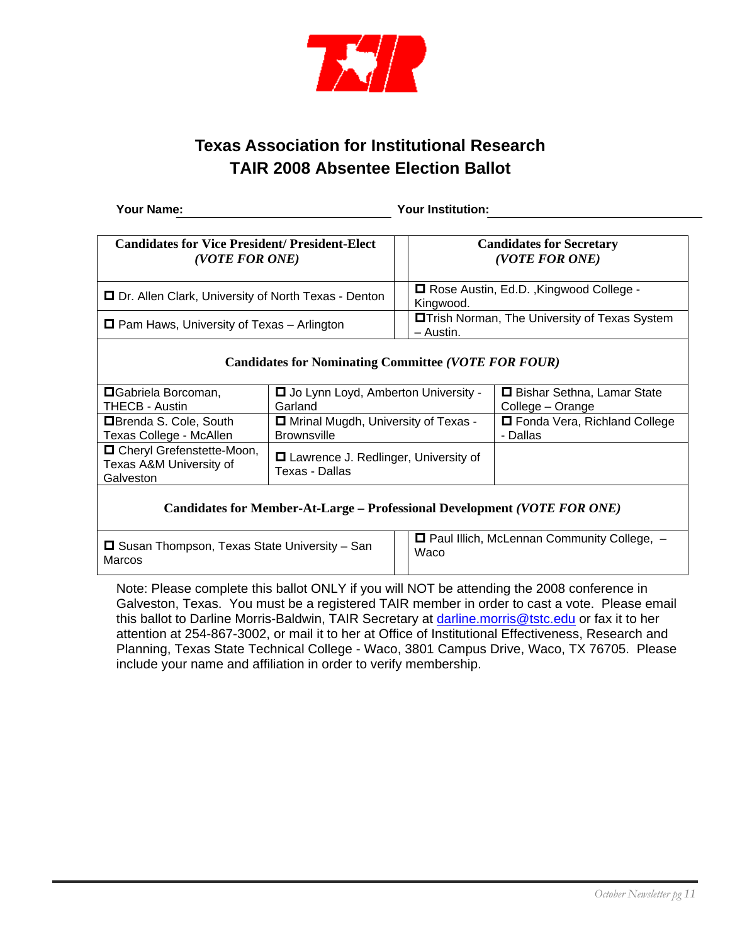

## **Texas Association for Institutional Research TAIR 2008 Absentee Election Ballot**

**Your Name: Your Institution:**

| <b>Candidates for Vice President/President-Elect</b>       |                                            |                                                      | <b>Candidates for Secretary</b>        |  |  |  |  |
|------------------------------------------------------------|--------------------------------------------|------------------------------------------------------|----------------------------------------|--|--|--|--|
| (VOTE FOR ONE)                                             |                                            | (VOTE FOR ONE)                                       |                                        |  |  |  |  |
|                                                            |                                            |                                                      |                                        |  |  |  |  |
| □ Dr. Allen Clark, University of North Texas - Denton      |                                            | □ Rose Austin, Ed.D., Kingwood College -             |                                        |  |  |  |  |
|                                                            |                                            | Kingwood.                                            |                                        |  |  |  |  |
| $\Box$ Pam Haws, University of Texas – Arlington           |                                            | <b>OTrish Norman, The University of Texas System</b> |                                        |  |  |  |  |
|                                                            |                                            | $-$ Austin.                                          |                                        |  |  |  |  |
|                                                            |                                            |                                                      |                                        |  |  |  |  |
| <b>Candidates for Nominating Committee (VOTE FOR FOUR)</b> |                                            |                                                      |                                        |  |  |  |  |
|                                                            |                                            |                                                      |                                        |  |  |  |  |
| <b>O</b> Gabriela Borcoman,                                | □ Jo Lynn Loyd, Amberton University -      |                                                      | □ Bishar Sethna, Lamar State           |  |  |  |  |
| <b>THECB - Austin</b>                                      | Garland                                    |                                                      | College – Orange                       |  |  |  |  |
| <b>ER</b> randa S. Colo, South                             | <b>El Mrinal Muadh</b> Hniversity of Texas |                                                      | <b>FLE</b> onda Veral Pichland College |  |  |  |  |

| THECB - Austin                                                      | Garland                                                  | College – Orange               |
|---------------------------------------------------------------------|----------------------------------------------------------|--------------------------------|
| <b>□</b> Brenda S. Cole, South                                      | □ Mrinal Mugdh, University of Texas -                    | □ Fonda Vera, Richland College |
| Texas College - McAllen                                             | <b>Brownsville</b>                                       | - Dallas                       |
| □ Cheryl Grefenstette-Moon,<br>Texas A&M University of<br>Galveston | □ Lawrence J. Redlinger, University of<br>Texas - Dallas |                                |

## **Candidates for Member-At-Large – Professional Development** *(VOTE FOR ONE)*

 $\square$  Susan Thompson, Texas State University – San Marcos

 $\Box$  Paul Illich, McLennan Community College,  $-$ Waco

Note: Please complete this ballot ONLY if you will NOT be attending the 2008 conference in Galveston, Texas. You must be a registered TAIR member in order to cast a vote. Please email this ballot to Darline Morris-Baldwin, TAIR Secretary at darline.morris@tstc.edu or fax it to her attention at 254-867-3002, or mail it to her at Office of Institutional Effectiveness, Research and Planning, Texas State Technical College - Waco, 3801 Campus Drive, Waco, TX 76705. Please include your name and affiliation in order to verify membership.